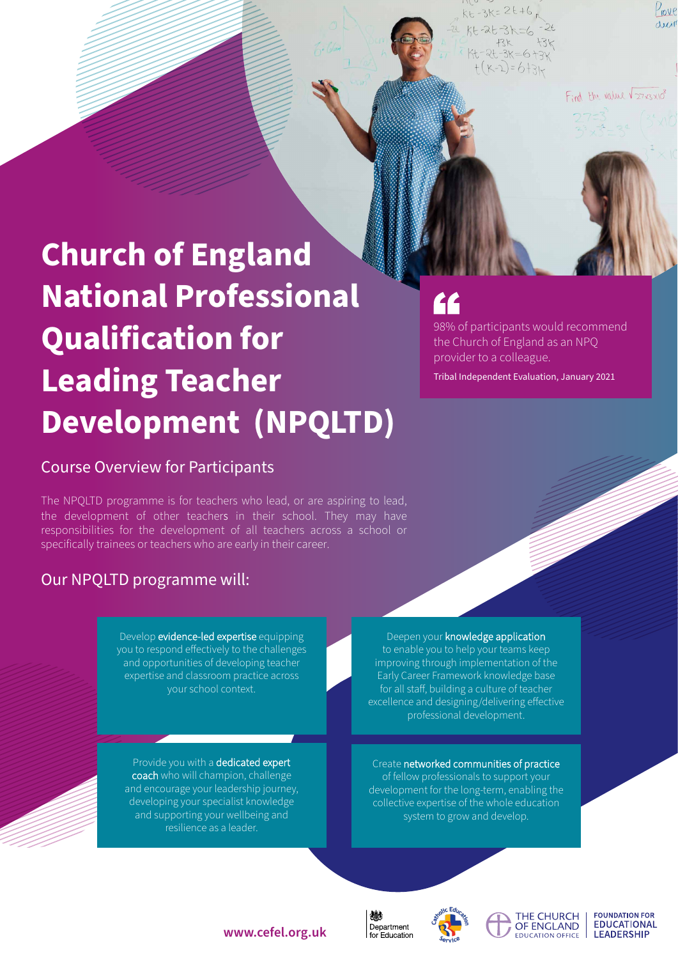$56 - 3k = 26 + 6k$  $k+2k-3k=$  $7t - 2t - 3k = 6 + 3k$  $+(K-2)=6+31$ 

 $P_{\text{ov}}$ e decar

Find the value V27x3x108

# **Church of England National Professional Qualification for Leading Teacher Development (NPQLTD)**

# Course Overview for Participants

The NPQLTD programme is for teachers who lead, or are aspiring to lead, the development of other teachers in their school. They may have responsibilities for the development of all teachers across a school or specifically trainees or teachers who are early in their career.

# Our NPQLTD programme will:

Develop evidence-led expertise equipping you to respond effectively to the challenges and opportunities of developing teacher expertise and classroom practice across your school context.

Provide you with a dedicated expert coach who will champion, challenge and encourage your leadership journey, developing your specialist knowledge and supporting your wellbeing and resilience as a leader.

# <u>FF</u>

98% of participants would recommend the Church of England as an NPQ provider to a colleague.

Tribal Independent Evaluation, January 2021

Deepen your knowledge application to enable you to help your teams keep improving through implementation of the Early Career Framework knowledge base for all staff, building a culture of teacher excellence and designing/delivering effective professional development.

Create networked communities of practice of fellow professionals to support your development for the long-term, enabling the collective expertise of the whole education system to grow and develop.



燃





**FOUNDATION FOR EDUCATIONAL LEADERSHIP** 

### **www.cefel.org.uk**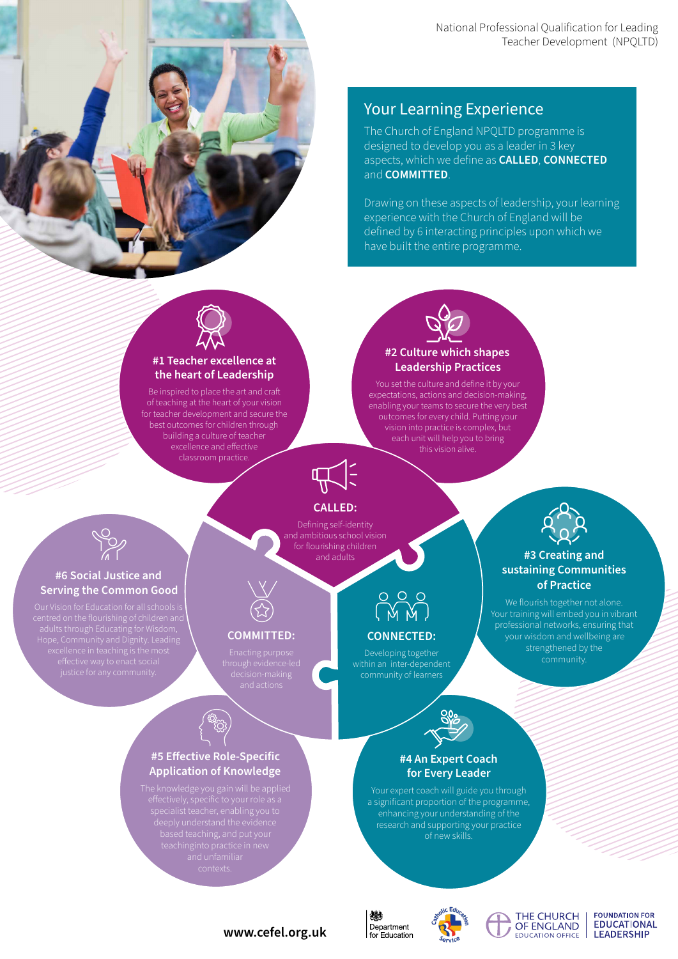

# Your Learning Experience

The Church of England NPQLTD programme is designed to develop you as a leader in 3 key aspects, which we define as **CALLED**, **CONNECTED** and **COMMITTED**.

Drawing on these aspects of leadership, your learning experience with the Church of England will be defined by 6 interacting principles upon which we have built the entire programme.



#### **#1 Teacher excellence at the heart of Leadership**

of teaching at the heart of your vision for teacher development and secure the best outcomes for children through building a culture of teacher excellence and effective classroom practice.



You set the culture and define it by your expectations, actions and decision-making, enabling your teams to secure the very best outcomes for every child. Putting your vision into practice is complex, but each unit will help you to bring



### **CALLED:**

Defining self-identity and ambitious school vision for flourishing children and adults



**#3 Creating and sustaining Communities of Practice** We flourish together not alone. Your training will embed you in vibrant professional networks, ensuring that your wisdom and wellbeing are strengthened by the community.



#### **#6 Social Justice and Serving the Common Good**



#### **COMMITTED:**

**#5 Effective Role-Specific Application of Knowledge**

# **CONNECTED:**

Developing together



#### **#4 An Expert Coach for Every Leader**

Your expert coach will guide you through a significant proportion of the programme, enhancing your understanding of the research and supporting your practice of new skills.







#### **FOUNDATION FOR EDUCATIONAL LEADERSHIP**

### **www.cefel.org.uk**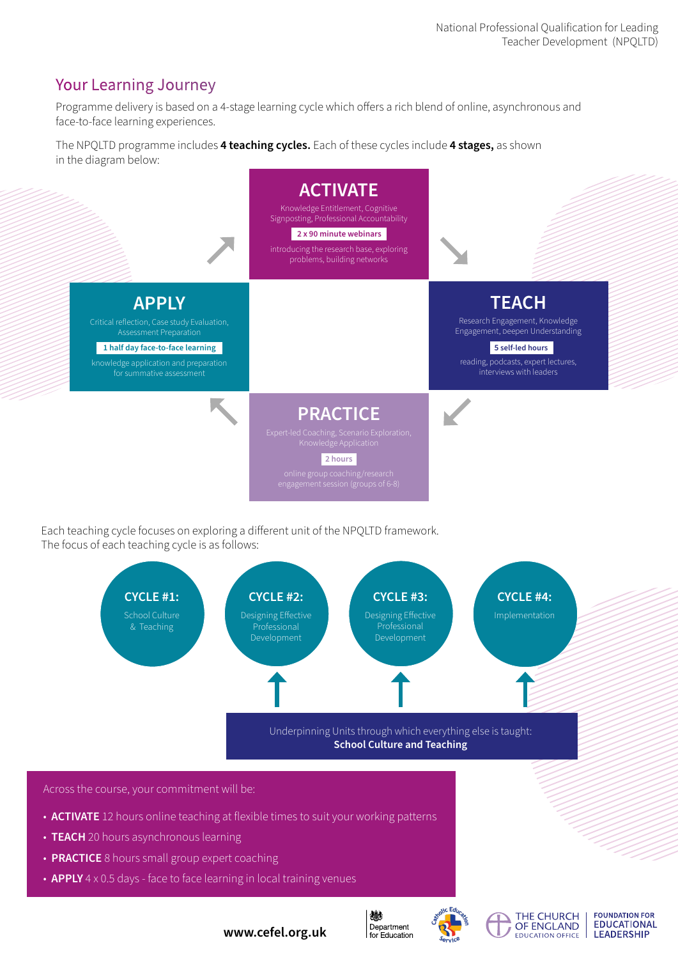# Your Learning Journey

Programme delivery is based on a 4-stage learning cycle which offers a rich blend of online, asynchronous and face-to-face learning experiences.

The NPQLTD programme includes **4 teaching cycles.** Each of these cycles include **4 stages,** as shown in the diagram below:



Each teaching cycle focuses on exploring a different unit of the NPQLTD framework. The focus of each teaching cycle is as follows:



- **TEACH** 20 hours asynchronous learning
- **PRACTICE** 8 hours small group expert coaching
- **APPLY** 4 x 0.5 days face to face learning in local training venues



燃

Department

for Education



**FOUNDATION FOR** THE CHURCH **EDUCATIONAL** OF ENGLAND **LEADERSHIP EDUCATION OFFICE** 

**www.cefel.org.uk**